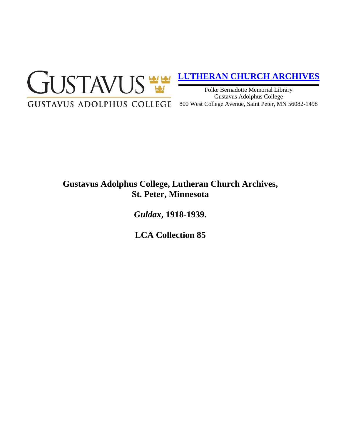

## **[LUTHERAN CHURCH ARCHIVES](http://gustavus.edu/academics/library/archives/)**

Folke Bernadotte Memorial Library Gustavus Adolphus College 800 West College Avenue, Saint Peter, MN 56082-1498

# **Gustavus Adolphus College, Lutheran Church Archives, St. Peter, Minnesota**

*Guldax***, 1918-1939.**

**LCA Collection 85**